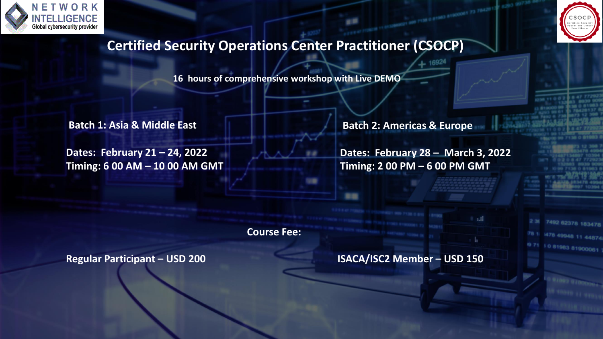



7492 62378 183478

M8 11 44874 81900061

# **Certified Security Operations Center Practitioner (CSOCP)**

**16 hours of comprehensive workshop with Live DEMO**

**Batch 1: Asia & Middle East** 

**Dates: February 21 – 24, 2022 Timing: 6 00 AM – 10 00 AM GMT** **Batch 2: Americas & Europe**

**Dates: February 28 – March 3, 2022 Timing: 2 00 PM – 6 00 PM GMT**

16924

**Course Fee:** 

**Regular Participant – USD 200 ISACA/ISC2 Member – USD 150**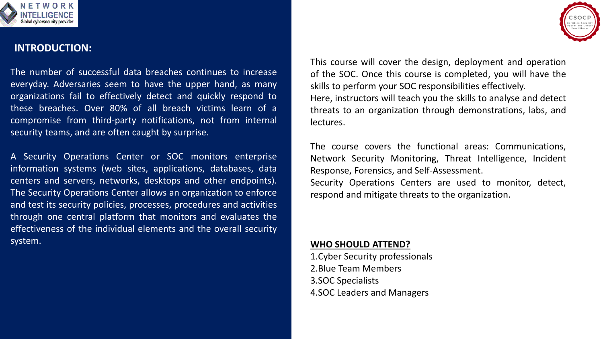

#### **INTRODUCTION:**

The number of successful data breaches continues to increase everyday. Adversaries seem to have the upper hand, as many organizations fail to effectively detect and quickly respond to these breaches. Over 80% of all breach victims learn of a compromise from third-party notifications, not from internal security teams, and are often caught by surprise.

A Security Operations Center or SOC monitors enterprise information systems (web sites, applications, databases, data centers and servers, networks, desktops and other endpoints). The Security Operations Center allows an organization to enforce and test its security policies, processes, procedures and activities through one central platform that monitors and evaluates the effectiveness of the individual elements and the overall security system.

This course will cover the design, deployment and operation of the SOC. Once this course is completed, you will have the skills to perform your SOC responsibilities effectively. Here, instructors will teach you the skills to analyse and detect threats to an organization through demonstrations, labs, and lectures.

The course covers the functional areas: Communications, Network Security Monitoring, Threat Intelligence, Incident Response, Forensics, and Self-Assessment. Security Operations Centers are used to monitor, detect, respond and mitigate threats to the organization.

#### **WHO SHOULD ATTEND?**

1.Cyber Security professionals 2.Blue Team Members 3.SOC Specialists 4.SOC Leaders and Managers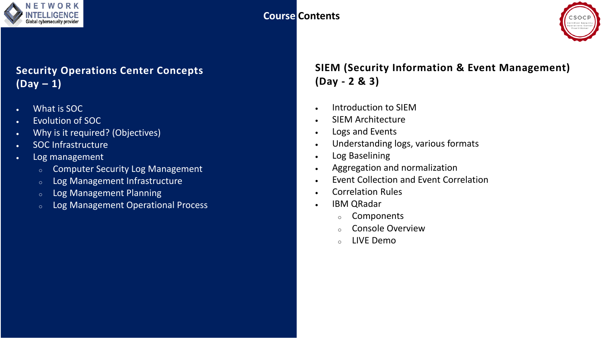

### **Course Contents**



## **Security Operations Center Concepts (Day – 1)**

- What is SOC
- Evolution of SOC
- Why is it required? (Objectives)
- SOC Infrastructure
- Log management
	- <sup>o</sup> Computer Security Log Management
	- <sup>o</sup> Log Management Infrastructure
	- <sup>o</sup> Log Management Planning
	- <sup>o</sup> Log Management Operational Process

### **SIEM (Security Information & Event Management) (Day - 2 & 3)**

- Introduction to SIEM
- SIEM Architecture
- Logs and Events
- Understanding logs, various formats
- Log Baselining
- Aggregation and normalization
- Event Collection and Event Correlation
- Correlation Rules
- IBM QRadar
	- <sup>o</sup> Components
	- <sup>o</sup> Console Overview
	- <sup>o</sup> LIVE Demo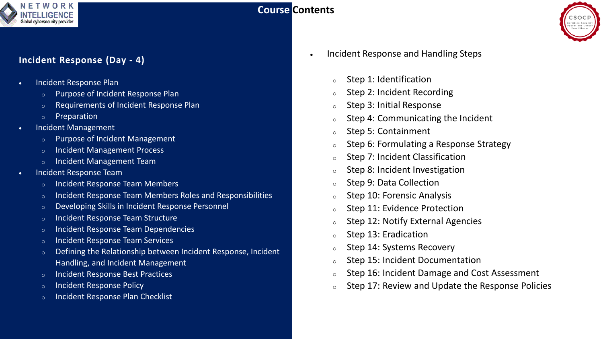

### **Course Contents**



#### **Incident Response (Day - 4)**

- Incident Response Plan
	- Purpose of Incident Response Plan
	- Requirements of Incident Response Plan
	- o Preparation
- Incident Management
	- o Purpose of Incident Management
	- Incident Management Process
	- Incident Management Team
- Incident Response Team
	- o Incident Response Team Members
	- o Incident Response Team Members Roles and Responsibilities
	- o Developing Skills in Incident Response Personnel
	- o Incident Response Team Structure
	- o Incident Response Team Dependencies
	- o Incident Response Team Services
	- o Defining the Relationship between Incident Response, Incident Handling, and Incident Management
	- o Incident Response Best Practices
	- o Incident Response Policy
	- o Incident Response Plan Checklist
- Incident Response and Handling Steps
	- <sup>o</sup> Step 1: Identification
	- <sup>o</sup> Step 2: Incident Recording
	- <sup>o</sup> Step 3: Initial Response
	- $\circ$  Step 4: Communicating the Incident
	- <sup>o</sup> Step 5: Containment
	- <sup>o</sup> Step 6: Formulating a Response Strategy
	- <sup>o</sup> Step 7: Incident Classification
	- <sup>o</sup> Step 8: Incident Investigation
	- <sup>o</sup> Step 9: Data Collection
	- <sup>o</sup> Step 10: Forensic Analysis
	- <sup>o</sup> Step 11: Evidence Protection
	- <sup>o</sup> Step 12: Notify External Agencies
	- <sup>o</sup> Step 13: Eradication
	- <sup>o</sup> Step 14: Systems Recovery
	- <sup>o</sup> Step 15: Incident Documentation
	- <sup>o</sup> Step 16: Incident Damage and Cost Assessment
	- <sup>o</sup> Step 17: Review and Update the Response Policies